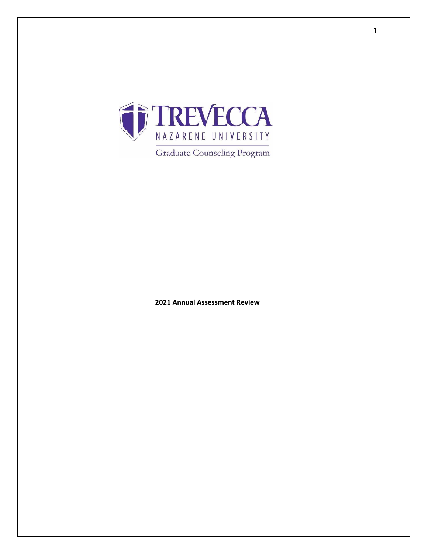

**Graduate Counseling Program** 

**Annual Assessment Review**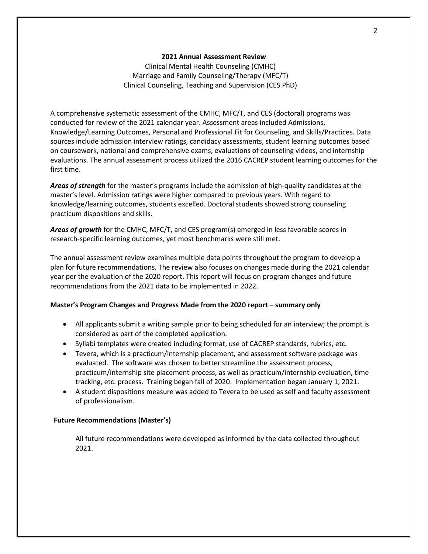## **2021 Annual Assessment Review**

Clinical Mental Health Counseling (CMHC) Marriage and Family Counseling/Therapy (MFC/T) Clinical Counseling, Teaching and Supervision (CES PhD)

A comprehensive systematic assessment of the CMHC, MFC/T, and CES (doctoral) programs was conducted for review of the 2021 calendar year. Assessment areas included Admissions, Knowledge/Learning Outcomes, Personal and Professional Fit for Counseling, and Skills/Practices. Data sources include admission interview ratings, candidacy assessments, student learning outcomes based on coursework, national and comprehensive exams, evaluations of counseling videos, and internship evaluations. The annual assessment process utilized the 2016 CACREP student learning outcomes for the first time.

*Areas of strength* for the master's programs include the admission of high-quality candidates at the master's level. Admission ratings were higher compared to previous years. With regard to knowledge/learning outcomes, students excelled. Doctoral students showed strong counseling practicum dispositions and skills.

*Areas of growth* for the CMHC, MFC/T, and CES program(s) emerged in less favorable scores in research-specific learning outcomes, yet most benchmarks were still met.

The annual assessment review examines multiple data points throughout the program to develop a plan for future recommendations. The review also focuses on changes made during the 2021 calendar year per the evaluation of the 2020 report. This report will focus on program changes and future recommendations from the 2021 data to be implemented in 2022.

# **Master's Program Changes and Progress Made from the 2020 report – summary only**

- All applicants submit a writing sample prior to being scheduled for an interview; the prompt is considered as part of the completed application.
- Syllabi templates were created including format, use of CACREP standards, rubrics, etc.
- Tevera, which is a practicum/internship placement, and assessment software package was evaluated. The software was chosen to better streamline the assessment process, practicum/internship site placement process, as well as practicum/internship evaluation, time tracking, etc. process. Training began fall of 2020. Implementation began January 1, 2021.
- A student dispositions measure was added to Tevera to be used as self and faculty assessment of professionalism.

## **Future Recommendations (Master's)**

All future recommendations were developed as informed by the data collected throughout 2021.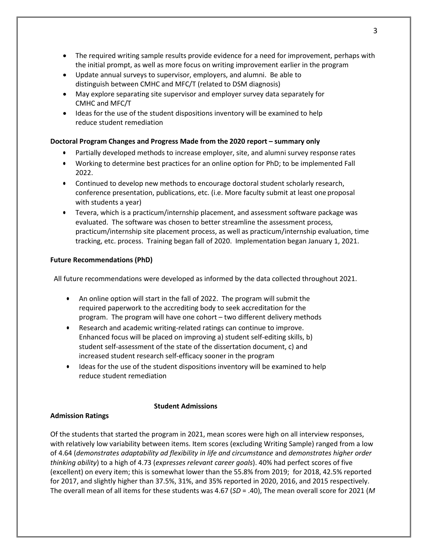- The required writing sample results provide evidence for a need for improvement, perhaps with the initial prompt, as well as more focus on writing improvement earlier in the program
- Update annual surveys to supervisor, employers, and alumni. Be able to distinguish between CMHC and MFC/T (related to DSM diagnosis)
- May explore separating site supervisor and employer survey data separately for CMHC and MFC/T
- Ideas for the use of the student dispositions inventory will be examined to help reduce student remediation

# **Doctoral Program Changes and Progress Made from the 2020 report – summary only**

- Partially developed methods to increase employer, site, and alumni survey response rates
- Working to determine best practices for an online option for PhD; to be implemented Fall 2022.
- Continued to develop new methods to encourage doctoral student scholarly research, conference presentation, publications, etc. (i.e. More faculty submit at least one proposal with students a year)
- Tevera, which is a practicum/internship placement, and assessment software package was evaluated. The software was chosen to better streamline the assessment process, practicum/internship site placement process, as well as practicum/internship evaluation, time tracking, etc. process. Training began fall of 2020. Implementation began January 1, 2021.

# **Future Recommendations (PhD)**

All future recommendations were developed as informed by the data collected throughout 2021.

- An online option will start in the fall of 2022. The program will submit the required paperwork to the accrediting body to seek accreditation for the program. The program will have one cohort – two different delivery methods
- Research and academic writing-related ratings can continue to improve. Enhanced focus will be placed on improving a) student self-editing skills, b) student self-assessment of the state of the dissertation document, c) and increased student research self-efficacy sooner in the program
- Ideas for the use of the student dispositions inventory will be examined to help reduce student remediation

## **Student Admissions**

# **Admission Ratings**

Of the students that started the program in 2021, mean scores were high on all interview responses, with relatively low variability between items. Item scores (excluding Writing Sample) ranged from a low of 4.64 (*demonstrates adaptability ad flexibility in life and circumstance* and *demonstrates higher order thinking ability*) to a high of 4.73 (*expresses relevant career goals*). 40% had perfect scores of five (excellent) on every item; this is somewhat lower than the 55.8% from 2019; for 2018, 42.5% reported for 2017, and slightly higher than 37.5%, 31%, and 35% reported in 2020, 2016, and 2015 respectively. The overall mean of all items for these students was 4.67 (*SD* = .40), The mean overall score for 2021 (*M*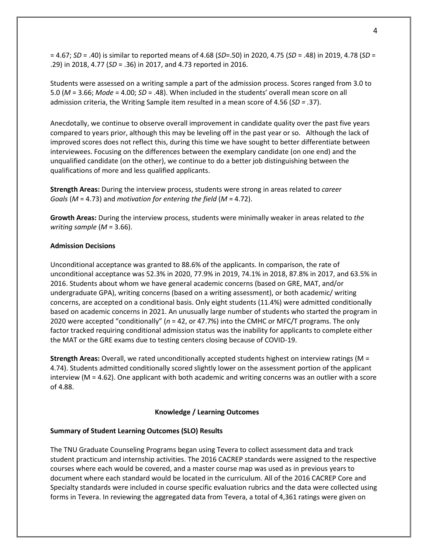= 4.67; *SD* = .40) is similar to reported means of 4.68 (*SD*=.50) in 2020, 4.75 (*SD* = .48) in 2019, 4.78 (*SD* = .29) in 2018, 4.77 (*SD* = .36) in 2017, and 4.73 reported in 2016.

Students were assessed on a writing sample a part of the admission process. Scores ranged from 3.0 to 5.0 (*M* = 3.66; *Mode* = 4.00; *SD* = .48). When included in the students' overall mean score on all admission criteria, the Writing Sample item resulted in a mean score of 4.56 (*SD = .*37).

Anecdotally, we continue to observe overall improvement in candidate quality over the past five years compared to years prior, although this may be leveling off in the past year or so. Although the lack of improved scores does not reflect this, during this time we have sought to better differentiate between interviewees. Focusing on the differences between the exemplary candidate (on one end) and the unqualified candidate (on the other), we continue to do a better job distinguishing between the qualifications of more and less qualified applicants.

**Strength Areas:** During the interview process, students were strong in areas related to *career Goals* (*M* = 4.73) and *motivation for entering the field* (*M* = 4.72).

**Growth Areas:** During the interview process, students were minimally weaker in areas related to *the writing sample* (*M* = 3.66).

## **Admission Decisions**

Unconditional acceptance was granted to 88.6% of the applicants. In comparison, the rate of unconditional acceptance was 52.3% in 2020, 77.9% in 2019, 74.1% in 2018, 87.8% in 2017, and 63.5% in 2016. Students about whom we have general academic concerns (based on GRE, MAT, and/or undergraduate GPA), writing concerns (based on a writing assessment), or both academic/ writing concerns, are accepted on a conditional basis. Only eight students (11.4%) were admitted conditionally based on academic concerns in 2021. An unusually large number of students who started the program in 2020 were accepted "conditionally" (*n* = 42, or 47.7%) into the CMHC or MFC/T programs. The only factor tracked requiring conditional admission status was the inability for applicants to complete either the MAT or the GRE exams due to testing centers closing because of COVID-19.

**Strength Areas:** Overall, we rated unconditionally accepted students highest on interview ratings (M = 4.74). Students admitted conditionally scored slightly lower on the assessment portion of the applicant interview (M = 4.62). One applicant with both academic and writing concerns was an outlier with a score of 4.88.

## **Knowledge / Learning Outcomes**

# **Summary of Student Learning Outcomes (SLO) Results**

The TNU Graduate Counseling Programs began using Tevera to collect assessment data and track student practicum and internship activities. The 2016 CACREP standards were assigned to the respective courses where each would be covered, and a master course map was used as in previous years to document where each standard would be located in the curriculum. All of the 2016 CACREP Core and Specialty standards were included in course specific evaluation rubrics and the data were collected using forms in Tevera. In reviewing the aggregated data from Tevera, a total of 4,361 ratings were given on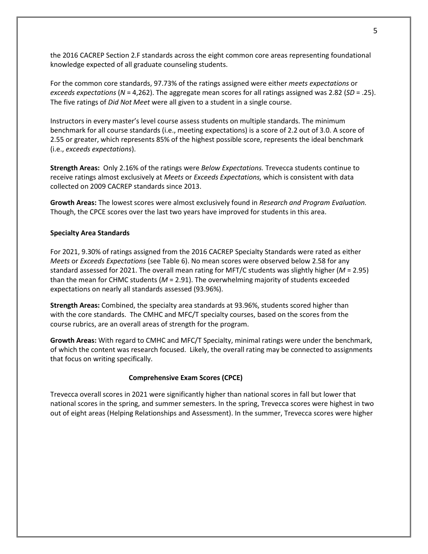the 2016 CACREP Section 2.F standards across the eight common core areas representing foundational knowledge expected of all graduate counseling students.

For the common core standards, 97.73% of the ratings assigned were either *meets expectations* or *exceeds expectations* (*N* = 4,262). The aggregate mean scores for all ratings assigned was 2.82 (*SD* = .25). The five ratings of *Did Not Meet* were all given to a student in a single course.

Instructors in every master's level course assess students on multiple standards. The minimum benchmark for all course standards (i.e., meeting expectations) is a score of 2.2 out of 3.0. A score of 2.55 or greater, which represents 85% of the highest possible score, represents the ideal benchmark (i.e., *exceeds expectations*).

**Strength Areas:** Only 2.16% of the ratings were *Below Expectations.* Trevecca students continue to receive ratings almost exclusively at *Meets* or *Exceeds Expectations,* which is consistent with data collected on 2009 CACREP standards since 2013.

**Growth Areas:** The lowest scores were almost exclusively found in *Research and Program Evaluation.* Though, the CPCE scores over the last two years have improved for students in this area.

### **Specialty Area Standards**

For 2021, 9.30% of ratings assigned from the 2016 CACREP Specialty Standards were rated as either *Meets* or *Exceeds Expectations* (see Table 6). No mean scores were observed below 2.58 for any standard assessed for 2021. The overall mean rating for MFT/C students was slightly higher (*M* = 2.95) than the mean for CHMC students (*M* = 2.91). The overwhelming majority of students exceeded expectations on nearly all standards assessed (93.96%).

**Strength Areas:** Combined, the specialty area standards at 93.96%, students scored higher than with the core standards. The CMHC and MFC/T specialty courses, based on the scores from the course rubrics, are an overall areas of strength for the program.

**Growth Areas:** With regard to CMHC and MFC/T Specialty, minimal ratings were under the benchmark, of which the content was research focused. Likely, the overall rating may be connected to assignments that focus on writing specifically.

#### **Comprehensive Exam Scores (CPCE)**

Trevecca overall scores in 2021 were significantly higher than national scores in fall but lower that national scores in the spring, and summer semesters. In the spring, Trevecca scores were highest in two out of eight areas (Helping Relationships and Assessment). In the summer, Trevecca scores were higher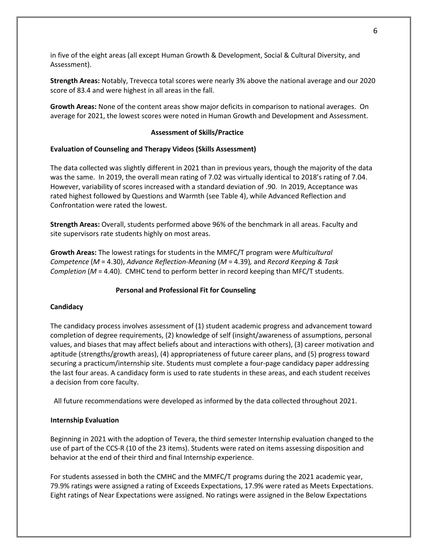in five of the eight areas (all except Human Growth & Development, Social & Cultural Diversity, and Assessment).

**Strength Areas:** Notably, Trevecca total scores were nearly 3% above the national average and our 2020 score of 83.4 and were highest in all areas in the fall.

**Growth Areas:** None of the content areas show major deficits in comparison to national averages. On average for 2021, the lowest scores were noted in Human Growth and Development and Assessment.

### **Assessment of Skills/Practice**

## **Evaluation of Counseling and Therapy Videos (Skills Assessment)**

The data collected was slightly different in 2021 than in previous years, though the majority of the data was the same. In 2019, the overall mean rating of 7.02 was virtually identical to 2018's rating of 7.04. However, variability of scores increased with a standard deviation of .90. In 2019, Acceptance was rated highest followed by Questions and Warmth (see Table 4), while Advanced Reflection and Confrontation were rated the lowest.

**Strength Areas:** Overall, students performed above 96% of the benchmark in all areas. Faculty and site supervisors rate students highly on most areas.

**Growth Areas:** The lowest ratings for students in the MMFC/T program were *Multicultural Competence* (*M* = 4.30), *Advance Reflection-Meaning* (*M* = 4.39)*,* and *Record Keeping & Task Completion* (*M* = 4.40). CMHC tend to perform better in record keeping than MFC/T students.

#### **Personal and Professional Fit for Counseling**

#### **Candidacy**

The candidacy process involves assessment of (1) student academic progress and advancement toward completion of degree requirements, (2) knowledge of self (insight/awareness of assumptions, personal values, and biases that may affect beliefs about and interactions with others), (3) career motivation and aptitude (strengths/growth areas), (4) appropriateness of future career plans, and (5) progress toward securing a practicum/internship site. Students must complete a four-page candidacy paper addressing the last four areas. A candidacy form is used to rate students in these areas, and each student receives a decision from core faculty.

All future recommendations were developed as informed by the data collected throughout 2021.

#### **Internship Evaluation**

Beginning in 2021 with the adoption of Tevera, the third semester Internship evaluation changed to the use of part of the CCS-R (10 of the 23 items). Students were rated on items assessing disposition and behavior at the end of their third and final Internship experience.

For students assessed in both the CMHC and the MMFC/T programs during the 2021 academic year, 79.9% ratings were assigned a rating of Exceeds Expectations, 17.9% were rated as Meets Expectations. Eight ratings of Near Expectations were assigned. No ratings were assigned in the Below Expectations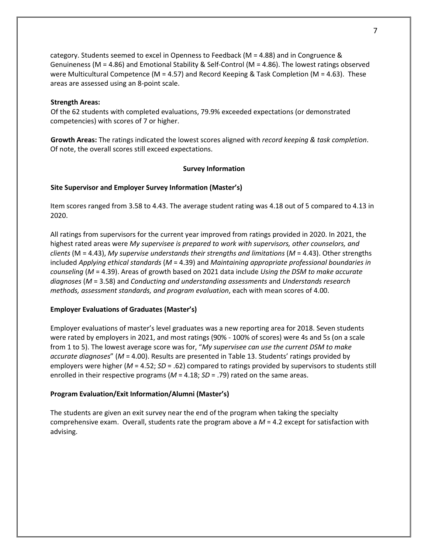category. Students seemed to excel in Openness to Feedback (M = 4.88) and in Congruence & Genuineness (M = 4.86) and Emotional Stability & Self-Control (M = 4.86). The lowest ratings observed were Multicultural Competence (M = 4.57) and Record Keeping & Task Completion (M = 4.63). These areas are assessed using an 8-point scale.

## **Strength Areas:**

Of the 62 students with completed evaluations, 79.9% exceeded expectations (or demonstrated competencies) with scores of 7 or higher.

**Growth Areas:** The ratings indicated the lowest scores aligned with *record keeping & task completion*. Of note, the overall scores still exceed expectations.

### **Survey Information**

#### **Site Supervisor and Employer Survey Information (Master's)**

Item scores ranged from 3.58 to 4.43. The average student rating was 4.18 out of 5 compared to 4.13 in 2020.

All ratings from supervisors for the current year improved from ratings provided in 2020. In 2021, the highest rated areas were *My supervisee is prepared to work with supervisors, other counselors, and clients* (M = 4.43), *My supervise understands their strengths and limitations* (*M* = 4.43). Other strengths included *Applying ethical standards* (*M* = 4.39) and *Maintaining appropriate professional boundaries in counseling* (*M* = 4.39). Areas of growth based on 2021 data include *Using the DSM to make accurate diagnoses* (*M* = 3.58) and *Conducting and understanding assessments* and *Understands research methods, assessment standards, and program evaluation*, each with mean scores of 4.00.

#### **Employer Evaluations of Graduates (Master's)**

Employer evaluations of master's level graduates was a new reporting area for 2018. Seven students were rated by employers in 2021, and most ratings (90% - 100% of scores) were 4s and 5s (on a scale from 1 to 5). The lowest average score was for, "*My supervisee can use the current DSM to make accurate diagnoses*" (*M* = 4.00). Results are presented in Table 13. Students' ratings provided by employers were higher (*M* = 4.52; *SD* = .62) compared to ratings provided by supervisors to students still enrolled in their respective programs ( $M = 4.18$ ;  $SD = .79$ ) rated on the same areas.

#### **Program Evaluation/Exit Information/Alumni (Master's)**

The students are given an exit survey near the end of the program when taking the specialty comprehensive exam. Overall, students rate the program above a *M* = 4.2 except for satisfaction with advising.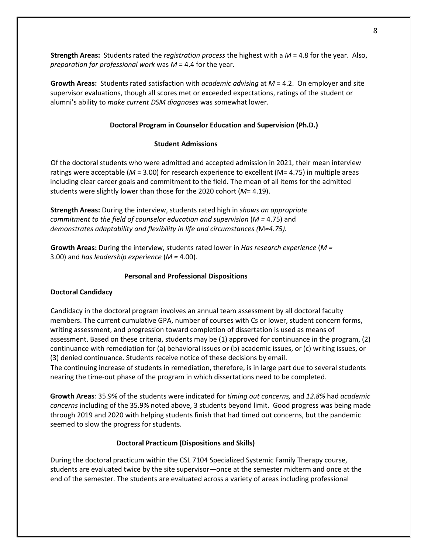**Strength Areas:** Students rated the *registration process* the highest with a *M* = 4.8 for the year. Also, *preparation for professional work* was *M* = 4.4 for the year.

**Growth Areas:** Students rated satisfaction with *academic advising* at *M* = 4.2. On employer and site supervisor evaluations, though all scores met or exceeded expectations, ratings of the student or alumni's ability to *make current DSM diagnoses* was somewhat lower.

# **Doctoral Program in Counselor Education and Supervision (Ph.D.)**

# **Student Admissions**

Of the doctoral students who were admitted and accepted admission in 2021, their mean interview ratings were acceptable (*M* = 3.00) for research experience to excellent (M= 4.75) in multiple areas including clear career goals and commitment to the field. The mean of all items for the admitted students were slightly lower than those for the 2020 cohort (*M*= 4.19).

**Strength Areas:** During the interview, students rated high in *shows an appropriate commitment to the field of counselor education and supervision* (*M =* 4.75) and *demonstrates adaptability and flexibility in life and circumstances (*M*=4.75).*

**Growth Areas:** During the interview, students rated lower in *Has research experience* (*M =*  3.00) and *has leadership experience* (*M =* 4.00).

# **Personal and Professional Dispositions**

# **Doctoral Candidacy**

Candidacy in the doctoral program involves an annual team assessment by all doctoral faculty members. The current cumulative GPA, number of courses with Cs or lower, student concern forms, writing assessment, and progression toward completion of dissertation is used as means of assessment. Based on these criteria, students may be (1) approved for continuance in the program, (2) continuance with remediation for (a) behavioral issues or (b) academic issues, or (c) writing issues, or (3) denied continuance. Students receive notice of these decisions by email.

The continuing increase of students in remediation, therefore, is in large part due to several students nearing the time-out phase of the program in which dissertations need to be completed.

**Growth Areas***:* 35.9% of the students were indicated for *timing out concerns,* and *12.8%* had *academic concerns* including of the 35.9% noted above, 3 students beyond limit. Good progress was being made through 2019 and 2020 with helping students finish that had timed out concerns, but the pandemic seemed to slow the progress for students.

# **Doctoral Practicum (Dispositions and Skills)**

During the doctoral practicum within the CSL 7104 Specialized Systemic Family Therapy course, students are evaluated twice by the site supervisor—once at the semester midterm and once at the end of the semester. The students are evaluated across a variety of areas including professional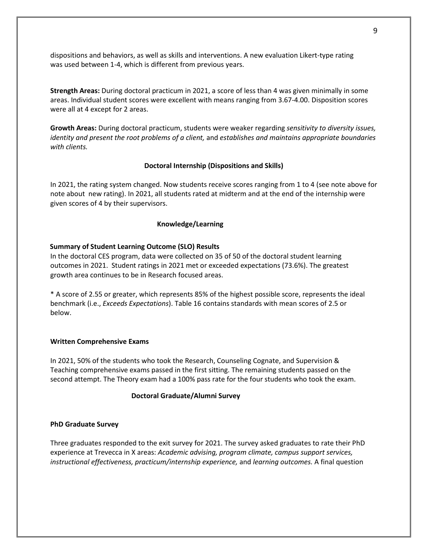dispositions and behaviors, as well as skills and interventions. A new evaluation Likert-type rating was used between 1-4, which is different from previous years.

**Strength Areas:** During doctoral practicum in 2021, a score of less than 4 was given minimally in some areas. Individual student scores were excellent with means ranging from 3.67-4.00. Disposition scores were all at 4 except for 2 areas.

**Growth Areas:** During doctoral practicum, students were weaker regarding *sensitivity to diversity issues, identity and present the root problems of a client,* and *establishes and maintains appropriate boundaries with clients.*

### **Doctoral Internship (Dispositions and Skills)**

In 2021, the rating system changed. Now students receive scores ranging from 1 to 4 (see note above for note about new rating). In 2021, all students rated at midterm and at the end of the internship were given scores of 4 by their supervisors.

#### **Knowledge/Learning**

#### **Summary of Student Learning Outcome (SLO) Results**

In the doctoral CES program, data were collected on 35 of 50 of the doctoral student learning outcomes in 2021. Student ratings in 2021 met or exceeded expectations (73.6%). The greatest growth area continues to be in Research focused areas.

\* A score of 2.55 or greater, which represents 85% of the highest possible score, represents the ideal benchmark (i.e., *Exceeds Expectations*). Table 16 contains standards with mean scores of 2.5 or below.

### **Written Comprehensive Exams**

In 2021, 50% of the students who took the Research, Counseling Cognate, and Supervision & Teaching comprehensive exams passed in the first sitting. The remaining students passed on the second attempt. The Theory exam had a 100% pass rate for the four students who took the exam.

### **Doctoral Graduate/Alumni Survey**

#### **PhD Graduate Survey**

Three graduates responded to the exit survey for 2021. The survey asked graduates to rate their PhD experience at Trevecca in X areas: *Academic advising, program climate, campus support services, instructional effectiveness, practicum/internship experience,* and *learning outcomes.* A final question